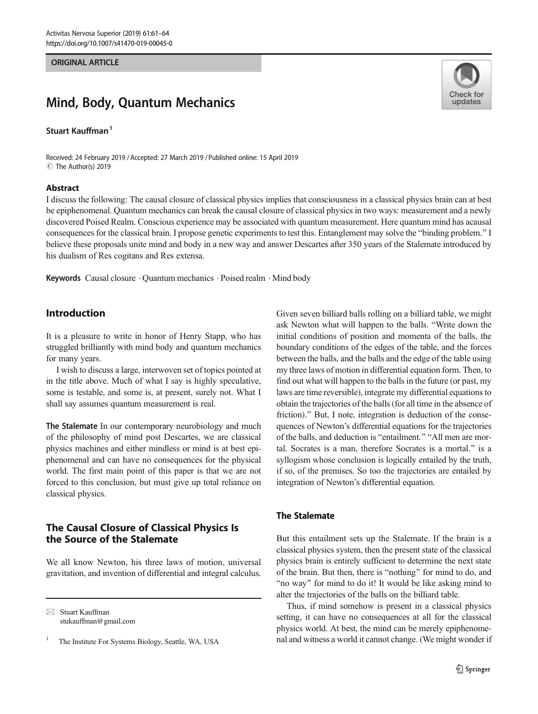#### ORIGINAL ARTICLE

# Mind, Body, Quantum Mechanics

## Stuart Kauffman<sup>1</sup>

Received: 24 February 2019 /Accepted: 27 March 2019 /Published online: 15 April 2019 C The Author(s) 2019

### Abstract



I discuss the following: The causal closure of classical physics implies that consciousness in a classical physics brain can at best be epiphenomenal. Quantum mechanics can break the causal closure of classical physics in two ways: measurement and a newly discovered Poised Realm. Conscious experience may be associated with quantum measurement. Here quantum mind has acausal consequences for the classical brain. I propose genetic experiments to test this. Entanglement may solve the "binding problem." I believe these proposals unite mind and body in a new way and answer Descartes after 350 years of the Stalemate introduced by his dualism of Res cogitans and Res extensa.

Keywords Causal closure  $\cdot$  Ouantum mechanics  $\cdot$  Poised realm  $\cdot$  Mind body

# Introduction

It is a pleasure to write in honor of Henry Stapp, who has struggled brilliantly with mind body and quantum mechanics for many years.

I wish to discuss a large, interwoven set of topics pointed at in the title above. Much of what I say is highly speculative, some is testable, and some is, at present, surely not. What I shall say assumes quantum measurement is real.

The Stalemate In our contemporary neurobiology and much of the philosophy of mind post Descartes, we are classical physics machines and either mindless or mind is at best epiphenomenal and can have no consequences for the physical world. The first main point of this paper is that we are not forced to this conclusion, but must give up total reliance on classical physics.

# The Causal Closure of Classical Physics Is the Source of the Stalemate

We all know Newton, his three laws of motion, universal gravitation, and invention of differential and integral calculus.

 $\boxtimes$  Stuart Kauffman [stukauffman@gmail.com](mailto:stukauffman@gmail.com)

The Institute For Systems Biology, Seattle, WA, USA

Given seven billiard balls rolling on a billiard table, we might ask Newton what will happen to the balls. "Write down the initial conditions of position and momenta of the balls, the boundary conditions of the edges of the table, and the forces between the balls, and the balls and the edge of the table using my three laws of motion in differential equation form. Then, to find out what will happen to the balls in the future (or past, my laws are time reversible), integrate my differential equations to obtain the trajectories of the balls (for all time in the absence of friction)." But, I note, integration is deduction of the consequences of Newton's differential equations for the trajectories of the balls, and deduction is "entailment." "All men are mortal. Socrates is a man, therefore Socrates is a mortal.^ is a syllogism whose conclusion is logically entailed by the truth, if so, of the premises. So too the trajectories are entailed by integration of Newton's differential equation.

# The Stalemate

But this entailment sets up the Stalemate. If the brain is a classical physics system, then the present state of the classical physics brain is entirely sufficient to determine the next state of the brain. But then, there is "nothing" for mind to do, and "no way" for mind to do it! It would be like asking mind to alter the trajectories of the balls on the billiard table.

Thus, if mind somehow is present in a classical physics setting, it can have no consequences at all for the classical physics world. At best, the mind can be merely epiphenomenal and witness a world it cannot change. (We might wonder if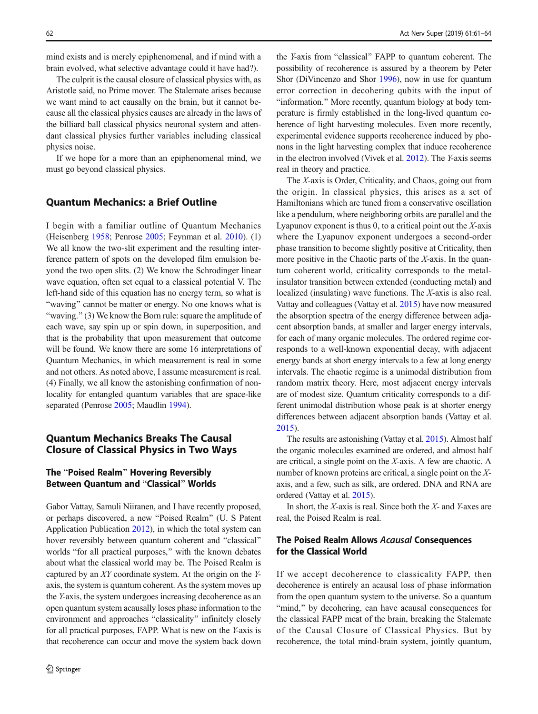mind exists and is merely epiphenomenal, and if mind with a brain evolved, what selective advantage could it have had?).

The culprit is the causal closure of classical physics with, as Aristotle said, no Prime mover. The Stalemate arises because we want mind to act causally on the brain, but it cannot because all the classical physics causes are already in the laws of the billiard ball classical physics neuronal system and attendant classical physics further variables including classical physics noise.

If we hope for a more than an epiphenomenal mind, we must go beyond classical physics.

## Quantum Mechanics: a Brief Outline

I begin with a familiar outline of Quantum Mechanics (Heisenberg [1958](#page-3-0); Penrose [2005;](#page-3-0) Feynman et al. [2010\)](#page-3-0). (1) We all know the two-slit experiment and the resulting interference pattern of spots on the developed film emulsion beyond the two open slits. (2) We know the Schrodinger linear wave equation, often set equal to a classical potential V. The left-hand side of this equation has no energy term, so what is "waving" cannot be matter or energy. No one knows what is "waving."  $(3)$  We know the Born rule: square the amplitude of each wave, say spin up or spin down, in superposition, and that is the probability that upon measurement that outcome will be found. We know there are some 16 interpretations of Quantum Mechanics, in which measurement is real in some and not others. As noted above, I assume measurement is real. (4) Finally, we all know the astonishing confirmation of nonlocality for entangled quantum variables that are space-like separated (Penrose [2005](#page-3-0); Maudlin [1994](#page-3-0)).

# Quantum Mechanics Breaks The Causal Closure of Classical Physics in Two Ways

# The "Poised Realm" Hovering Reversibly Between Quantum and "Classical" Worlds

Gabor Vattay, Samuli Niiranen, and I have recently proposed, or perhaps discovered, a new "Poised Realm" (U. S Patent Application Publication [2012\)](#page-3-0), in which the total system can hover reversibly between quantum coherent and "classical" worlds "for all practical purposes," with the known debates about what the classical world may be. The Poised Realm is captured by an XY coordinate system. At the origin on the Yaxis, the system is quantum coherent. As the system moves up the Y-axis, the system undergoes increasing decoherence as an open quantum system acausally loses phase information to the environment and approaches "classicality" infinitely closely for all practical purposes, FAPP. What is new on the Y-axis is that recoherence can occur and move the system back down

the *Y*-axis from "classical" FAPP to quantum coherent. The possibility of recoherence is assured by a theorem by Peter Shor (DiVincenzo and Shor [1996](#page-3-0)), now in use for quantum error correction in decohering qubits with the input of "information." More recently, quantum biology at body temperature is firmly established in the long-lived quantum coherence of light harvesting molecules. Even more recently, experimental evidence supports recoherence induced by phonons in the light harvesting complex that induce recoherence in the electron involved (Vivek et al. [2012\)](#page-3-0). The Y-axis seems real in theory and practice.

The X-axis is Order, Criticality, and Chaos, going out from the origin. In classical physics, this arises as a set of Hamiltonians which are tuned from a conservative oscillation like a pendulum, where neighboring orbits are parallel and the Lyapunov exponent is thus  $0$ , to a critical point out the X-axis where the Lyapunov exponent undergoes a second-order phase transition to become slightly positive at Criticality, then more positive in the Chaotic parts of the X-axis. In the quantum coherent world, criticality corresponds to the metalinsulator transition between extended (conducting metal) and localized (insulating) wave functions. The X-axis is also real. Vattay and colleagues (Vattay et al. [2015](#page-3-0)) have now measured the absorption spectra of the energy difference between adjacent absorption bands, at smaller and larger energy intervals, for each of many organic molecules. The ordered regime corresponds to a well-known exponential decay, with adjacent energy bands at short energy intervals to a few at long energy intervals. The chaotic regime is a unimodal distribution from random matrix theory. Here, most adjacent energy intervals are of modest size. Quantum criticality corresponds to a different unimodal distribution whose peak is at shorter energy differences between adjacent absorption bands (Vattay et al. [2015\)](#page-3-0).

The results are astonishing (Vattay et al. [2015](#page-3-0)). Almost half the organic molecules examined are ordered, and almost half are critical, a single point on the X-axis. A few are chaotic. A number of known proteins are critical, a single point on the Xaxis, and a few, such as silk, are ordered. DNA and RNA are ordered (Vattay et al. [2015\)](#page-3-0).

In short, the  $X$ -axis is real. Since both the  $X$ - and  $Y$ -axes are real, the Poised Realm is real.

## The Poised Realm Allows Acausal Consequences for the Classical World

If we accept decoherence to classicality FAPP, then decoherence is entirely an acausal loss of phase information from the open quantum system to the universe. So a quantum "mind," by decohering, can have acausal consequences for the classical FAPP meat of the brain, breaking the Stalemate of the Causal Closure of Classical Physics. But by recoherence, the total mind-brain system, jointly quantum,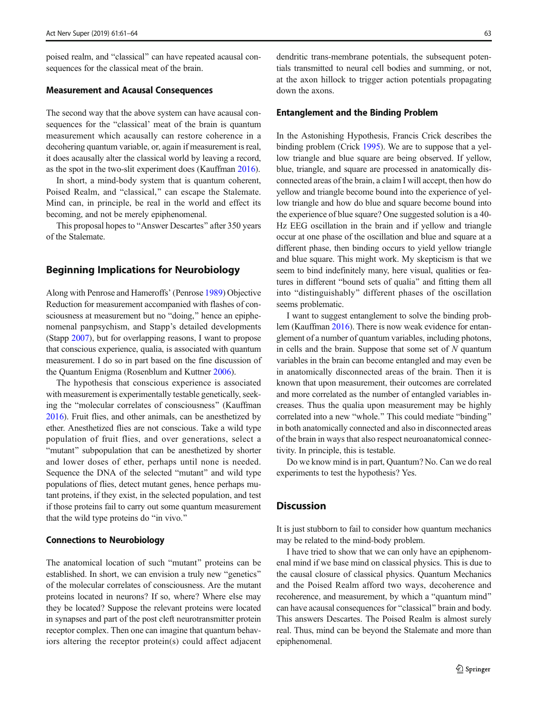poised realm, and "classical" can have repeated acausal consequences for the classical meat of the brain.

#### Measurement and Acausal Consequences

The second way that the above system can have acausal consequences for the "classical' meat of the brain is quantum measurement which acausally can restore coherence in a decohering quantum variable, or, again if measurement is real, it does acausally alter the classical world by leaving a record, as the spot in the two-slit experiment does (Kauffman [2016\)](#page-3-0).

In short, a mind-body system that is quantum coherent, Poised Realm, and "classical," can escape the Stalemate. Mind can, in principle, be real in the world and effect its becoming, and not be merely epiphenomenal.

This proposal hopes to "Answer Descartes" after 350 years of the Stalemate.

## Beginning Implications for Neurobiology

Along with Penrose and Hameroffs' (Penrose [1989\)](#page-3-0) Objective Reduction for measurement accompanied with flashes of consciousness at measurement but no "doing," hence an epiphenomenal panpsychism, and Stapp's detailed developments (Stapp [2007\)](#page-3-0), but for overlapping reasons, I want to propose that conscious experience, qualia, is associated with quantum measurement. I do so in part based on the fine discussion of the Quantum Enigma (Rosenblum and Kuttner [2006\)](#page-3-0).

The hypothesis that conscious experience is associated with measurement is experimentally testable genetically, seeking the "molecular correlates of consciousness" (Kauffman [2016\)](#page-3-0). Fruit flies, and other animals, can be anesthetized by ether. Anesthetized flies are not conscious. Take a wild type population of fruit flies, and over generations, select a "mutant" subpopulation that can be anesthetized by shorter and lower doses of ether, perhaps until none is needed. Sequence the DNA of the selected "mutant" and wild type populations of flies, detect mutant genes, hence perhaps mutant proteins, if they exist, in the selected population, and test if those proteins fail to carry out some quantum measurement that the wild type proteins do "in vivo."

#### Connections to Neurobiology

The anatomical location of such "mutant" proteins can be established. In short, we can envision a truly new "genetics" of the molecular correlates of consciousness. Are the mutant proteins located in neurons? If so, where? Where else may they be located? Suppose the relevant proteins were located in synapses and part of the post cleft neurotransmitter protein receptor complex. Then one can imagine that quantum behaviors altering the receptor protein(s) could affect adjacent dendritic trans-membrane potentials, the subsequent potentials transmitted to neural cell bodies and summing, or not, at the axon hillock to trigger action potentials propagating down the axons.

#### Entanglement and the Binding Problem

In the Astonishing Hypothesis, Francis Crick describes the binding problem (Crick [1995](#page-3-0)). We are to suppose that a yellow triangle and blue square are being observed. If yellow, blue, triangle, and square are processed in anatomically disconnected areas of the brain, a claim I will accept, then how do yellow and triangle become bound into the experience of yellow triangle and how do blue and square become bound into the experience of blue square? One suggested solution is a 40- Hz EEG oscillation in the brain and if yellow and triangle occur at one phase of the oscillation and blue and square at a different phase, then binding occurs to yield yellow triangle and blue square. This might work. My skepticism is that we seem to bind indefinitely many, here visual, qualities or features in different "bound sets of qualia" and fitting them all into "distinguishably" different phases of the oscillation seems problematic.

I want to suggest entanglement to solve the binding problem (Kauffman [2016\)](#page-3-0). There is now weak evidence for entanglement of a number of quantum variables, including photons, in cells and the brain. Suppose that some set of  $N$  quantum variables in the brain can become entangled and may even be in anatomically disconnected areas of the brain. Then it is known that upon measurement, their outcomes are correlated and more correlated as the number of entangled variables increases. Thus the qualia upon measurement may be highly correlated into a new "whole." This could mediate "binding" in both anatomically connected and also in disconnected areas of the brain in ways that also respect neuroanatomical connectivity. In principle, this is testable.

Do we know mind is in part, Quantum? No. Can we do real experiments to test the hypothesis? Yes.

## **Discussion**

It is just stubborn to fail to consider how quantum mechanics may be related to the mind-body problem.

I have tried to show that we can only have an epiphenomenal mind if we base mind on classical physics. This is due to the causal closure of classical physics. Quantum Mechanics and the Poised Realm afford two ways, decoherence and recoherence, and measurement, by which a "quantum mind" can have acausal consequences for "classical" brain and body. This answers Descartes. The Poised Realm is almost surely real. Thus, mind can be beyond the Stalemate and more than epiphenomenal.